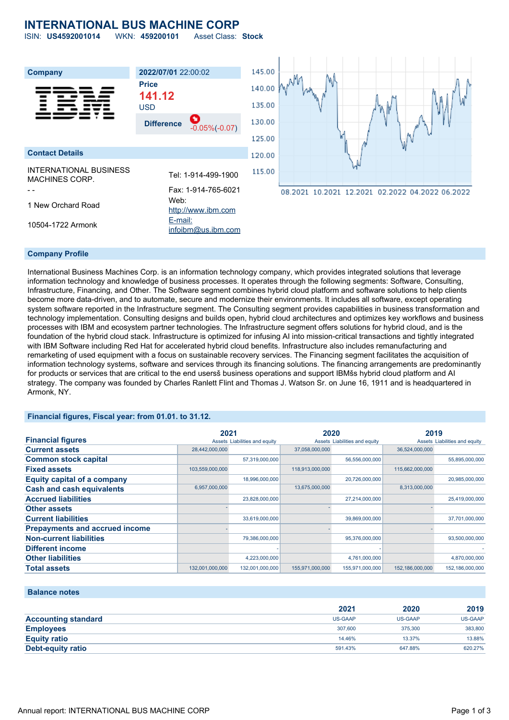# **INTERNATIONAL BUS MACHINE CORP**

ISIN: **US4592001014** WKN: **459200101** Asset Class: **Stock**

| <b>Company</b>                                  | 2022/07/01 22:00:02                                                                | 145.00           |                                                 |
|-------------------------------------------------|------------------------------------------------------------------------------------|------------------|-------------------------------------------------|
|                                                 | <b>Price</b><br>141.12<br><b>USD</b>                                               | 140.00<br>135.00 |                                                 |
|                                                 | O<br><b>Difference</b><br>$-0.05\%(-0.07)$                                         | 130.00           |                                                 |
|                                                 |                                                                                    | 125.00           |                                                 |
| <b>Contact Details</b>                          |                                                                                    | 120.00           |                                                 |
| INTERNATIONAL BUSINESS<br><b>MACHINES CORP.</b> | Tel: 1-914-499-1900                                                                | 115.00           |                                                 |
| 1 New Orchard Road<br>10504-1722 Armonk         | Fax: 1-914-765-6021<br>Web:<br>http://www.ibm.com<br>E-mail:<br>infoibm@us.ibm.com |                  | 08.2021 10.2021 12.2021 02.2022 04.2022 06.2022 |
|                                                 |                                                                                    |                  |                                                 |

### **Company Profile**

International Business Machines Corp. is an information technology company, which provides integrated solutions that leverage information technology and knowledge of business processes. It operates through the following segments: Software, Consulting, Infrastructure, Financing, and Other. The Software segment combines hybrid cloud platform and software solutions to help clients become more data-driven, and to automate, secure and modernize their environments. It includes all software, except operating system software reported in the Infrastructure segment. The Consulting segment provides capabilities in business transformation and technology implementation. Consulting designs and builds open, hybrid cloud architectures and optimizes key workflows and business processes with IBM and ecosystem partner technologies. The Infrastructure segment offers solutions for hybrid cloud, and is the foundation of the hybrid cloud stack. Infrastructure is optimized for infusing AI into mission-critical transactions and tightly integrated with IBM Software including Red Hat for accelerated hybrid cloud benefits. Infrastructure also includes remanufacturing and remarketing of used equipment with a focus on sustainable recovery services. The Financing segment facilitates the acquisition of information technology systems, software and services through its financing solutions. The financing arrangements are predominantly for products or services that are critical to the end usersš business operations and support IBMšs hybrid cloud platform and AI strategy. The company was founded by Charles Ranlett Flint and Thomas J. Watson Sr. on June 16, 1911 and is headquartered in Armonk, NY.

## **Financial figures, Fiscal year: from 01.01. to 31.12.**

|                                       | 2021            |                               | 2020            |                               | 2019            |                               |
|---------------------------------------|-----------------|-------------------------------|-----------------|-------------------------------|-----------------|-------------------------------|
| <b>Financial figures</b>              |                 | Assets Liabilities and equity |                 | Assets Liabilities and equity |                 | Assets Liabilities and equity |
| <b>Current assets</b>                 | 28,442,000,000  |                               | 37,058,000,000  |                               | 36,524,000,000  |                               |
| <b>Common stock capital</b>           |                 | 57,319,000,000                |                 | 56,556,000,000                |                 | 55,895,000,000                |
| <b>Fixed assets</b>                   | 103,559,000,000 |                               | 118,913,000,000 |                               | 115,662,000,000 |                               |
| <b>Equity capital of a company</b>    |                 | 18,996,000,000                |                 | 20,726,000,000                |                 | 20,985,000,000                |
| <b>Cash and cash equivalents</b>      | 6,957,000,000   |                               | 13,675,000,000  |                               | 8,313,000,000   |                               |
| <b>Accrued liabilities</b>            |                 | 23,828,000,000                |                 | 27,214,000,000                |                 | 25,419,000,000                |
| <b>Other assets</b>                   |                 |                               |                 |                               |                 |                               |
| <b>Current liabilities</b>            |                 | 33,619,000,000                |                 | 39,869,000,000                |                 | 37,701,000,000                |
| <b>Prepayments and accrued income</b> |                 |                               |                 |                               |                 |                               |
| <b>Non-current liabilities</b>        |                 | 79,386,000,000                |                 | 95,376,000,000                |                 | 93,500,000,000                |
| <b>Different income</b>               |                 |                               |                 |                               |                 |                               |
| <b>Other liabilities</b>              |                 | 4,223,000,000                 |                 | 4,761,000,000                 |                 | 4,870,000,000                 |
| <b>Total assets</b>                   | 132,001,000,000 | 132,001,000,000               | 155,971,000,000 | 155,971,000,000               | 152,186,000,000 | 152,186,000,000               |

#### **Balance notes**

|                            | 2021    | 2020    | 2019    |
|----------------------------|---------|---------|---------|
| <b>Accounting standard</b> | US-GAAP | US-GAAP | US-GAAP |
| <b>Employees</b>           | 307,600 | 375,300 | 383,800 |
| <b>Equity ratio</b>        | 14.46%  | 13.37%  | 13.88%  |
| Debt-equity ratio          | 591.43% | 647.88% | 620.27% |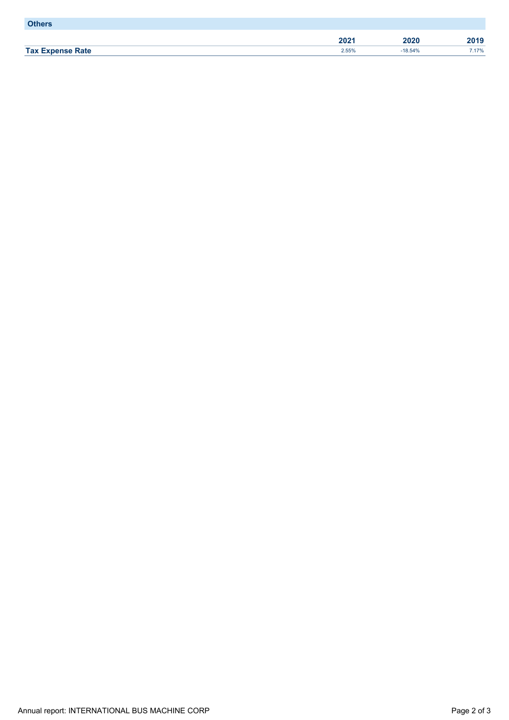| <b>Others</b>           |       |           |       |
|-------------------------|-------|-----------|-------|
|                         | 2021  | 2020      | 2019  |
| <b>Tax Expense Rate</b> | 2.55% | $-18.54%$ | 7.17% |